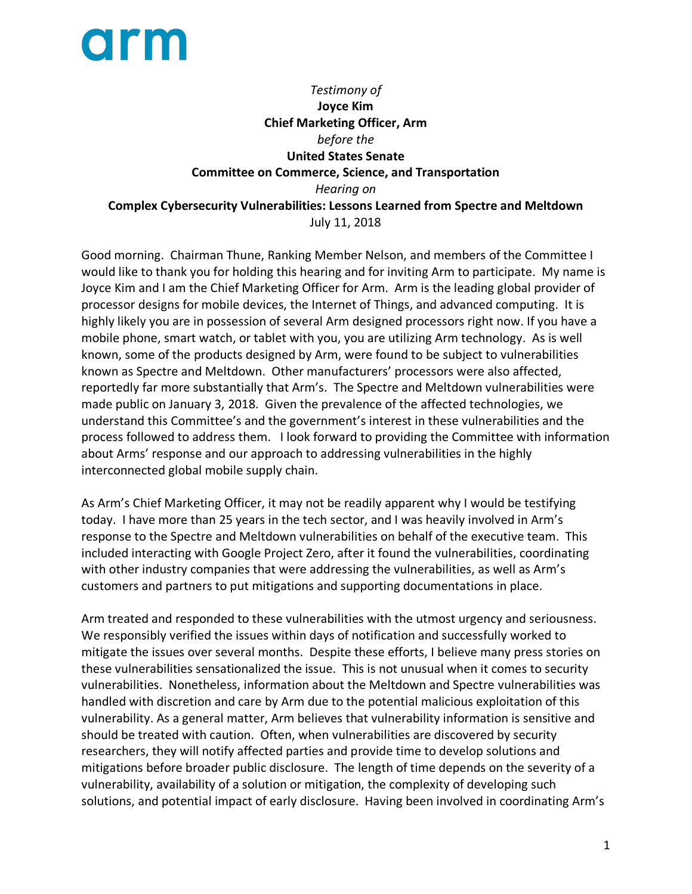## **orm**

*Testimony of*  **Joyce Kim Chief Marketing Officer, Arm** *before the* **United States Senate Committee on Commerce, Science, and Transportation** *Hearing on* **Complex Cybersecurity Vulnerabilities: Lessons Learned from Spectre and Meltdown** July 11, 2018

Good morning. Chairman Thune, Ranking Member Nelson, and members of the Committee I would like to thank you for holding this hearing and for inviting Arm to participate. My name is Joyce Kim and I am the Chief Marketing Officer for Arm. Arm is the leading global provider of processor designs for mobile devices, the Internet of Things, and advanced computing. It is highly likely you are in possession of several Arm designed processors right now. If you have a mobile phone, smart watch, or tablet with you, you are utilizing Arm technology. As is well known, some of the products designed by Arm, were found to be subject to vulnerabilities known as Spectre and Meltdown. Other manufacturers' processors were also affected, reportedly far more substantially that Arm's. The Spectre and Meltdown vulnerabilities were made public on January 3, 2018. Given the prevalence of the affected technologies, we understand this Committee's and the government's interest in these vulnerabilities and the process followed to address them. I look forward to providing the Committee with information about Arms' response and our approach to addressing vulnerabilities in the highly interconnected global mobile supply chain.

As Arm's Chief Marketing Officer, it may not be readily apparent why I would be testifying today. I have more than 25 years in the tech sector, and I was heavily involved in Arm's response to the Spectre and Meltdown vulnerabilities on behalf of the executive team. This included interacting with Google Project Zero, after it found the vulnerabilities, coordinating with other industry companies that were addressing the vulnerabilities, as well as Arm's customers and partners to put mitigations and supporting documentations in place.

Arm treated and responded to these vulnerabilities with the utmost urgency and seriousness. We responsibly verified the issues within days of notification and successfully worked to mitigate the issues over several months. Despite these efforts, I believe many press stories on these vulnerabilities sensationalized the issue. This is not unusual when it comes to security vulnerabilities. Nonetheless, information about the Meltdown and Spectre vulnerabilities was handled with discretion and care by Arm due to the potential malicious exploitation of this vulnerability. As a general matter, Arm believes that vulnerability information is sensitive and should be treated with caution. Often, when vulnerabilities are discovered by security researchers, they will notify affected parties and provide time to develop solutions and mitigations before broader public disclosure. The length of time depends on the severity of a vulnerability, availability of a solution or mitigation, the complexity of developing such solutions, and potential impact of early disclosure. Having been involved in coordinating Arm's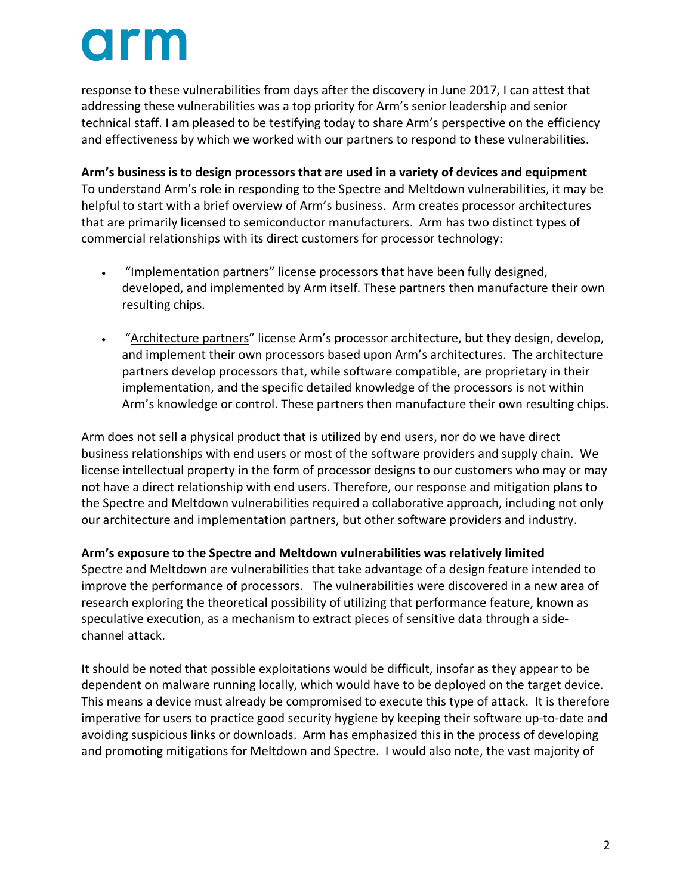# **O** Fin

response to these vulnerabilities from days after the discovery in June 2017, I can attest that addressing these vulnerabilities was a top priority for Arm's senior leadership and senior technical staff. I am pleased to be testifying today to share Arm's perspective on the efficiency and effectiveness by which we worked with our partners to respond to these vulnerabilities.

**Arm's business is to design processors that are used in a variety of devices and equipment** To understand Arm's role in responding to the Spectre and Meltdown vulnerabilities, it may be helpful to start with a brief overview of Arm's business. Arm creates processor architectures that are primarily licensed to semiconductor manufacturers. Arm has two distinct types of commercial relationships with its direct customers for processor technology:

- "Implementation partners" license processors that have been fully designed, developed, and implemented by Arm itself. These partners then manufacture their own resulting chips.
- "Architecture partners" license Arm's processor architecture, but they design, develop, and implement their own processors based upon Arm's architectures. The architecture partners develop processors that, while software compatible, are proprietary in their implementation, and the specific detailed knowledge of the processors is not within Arm's knowledge or control. These partners then manufacture their own resulting chips.

Arm does not sell a physical product that is utilized by end users, nor do we have direct business relationships with end users or most of the software providers and supply chain. We license intellectual property in the form of processor designs to our customers who may or may not have a direct relationship with end users. Therefore, our response and mitigation plans to the Spectre and Meltdown vulnerabilities required a collaborative approach, including not only our architecture and implementation partners, but other software providers and industry.

### **Arm's exposure to the Spectre and Meltdown vulnerabilities was relatively limited**

Spectre and Meltdown are vulnerabilities that take advantage of a design feature intended to improve the performance of processors. The vulnerabilities were discovered in a new area of research exploring the theoretical possibility of utilizing that performance feature, known as speculative execution, as a mechanism to extract pieces of sensitive data through a sidechannel attack.

It should be noted that possible exploitations would be difficult, insofar as they appear to be dependent on malware running locally, which would have to be deployed on the target device. This means a device must already be compromised to execute this type of attack. It is therefore imperative for users to practice good security hygiene by keeping their software up-to-date and avoiding suspicious links or downloads. Arm has emphasized this in the process of developing and promoting mitigations for Meltdown and Spectre. I would also note, the vast majority of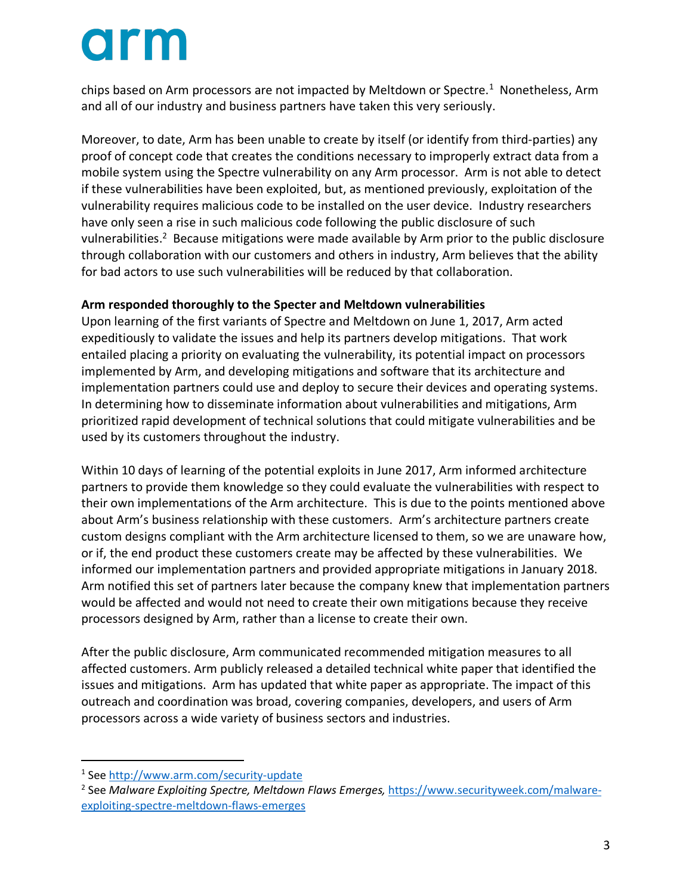# **orm**

chips based on Arm processors are not impacted by Meltdown or Spectre.<sup>1</sup> Nonetheless, Arm and all of our industry and business partners have taken this very seriously.

Moreover, to date, Arm has been unable to create by itself (or identify from third-parties) any proof of concept code that creates the conditions necessary to improperly extract data from a mobile system using the Spectre vulnerability on any Arm processor. Arm is not able to detect if these vulnerabilities have been exploited, but, as mentioned previously, exploitation of the vulnerability requires malicious code to be installed on the user device. Industry researchers have only seen a rise in such malicious code following the public disclosure of such vulnerabilities.<sup>2</sup> Because mitigations were made available by Arm prior to the public disclosure through collaboration with our customers and others in industry, Arm believes that the ability for bad actors to use such vulnerabilities will be reduced by that collaboration.

### **Arm responded thoroughly to the Specter and Meltdown vulnerabilities**

Upon learning of the first variants of Spectre and Meltdown on June 1, 2017, Arm acted expeditiously to validate the issues and help its partners develop mitigations. That work entailed placing a priority on evaluating the vulnerability, its potential impact on processors implemented by Arm, and developing mitigations and software that its architecture and implementation partners could use and deploy to secure their devices and operating systems. In determining how to disseminate information about vulnerabilities and mitigations, Arm prioritized rapid development of technical solutions that could mitigate vulnerabilities and be used by its customers throughout the industry.

Within 10 days of learning of the potential exploits in June 2017, Arm informed architecture partners to provide them knowledge so they could evaluate the vulnerabilities with respect to their own implementations of the Arm architecture. This is due to the points mentioned above about Arm's business relationship with these customers. Arm's architecture partners create custom designs compliant with the Arm architecture licensed to them, so we are unaware how, or if, the end product these customers create may be affected by these vulnerabilities. We informed our implementation partners and provided appropriate mitigations in January 2018. Arm notified this set of partners later because the company knew that implementation partners would be affected and would not need to create their own mitigations because they receive processors designed by Arm, rather than a license to create their own.

After the public disclosure, Arm communicated recommended mitigation measures to all affected customers. Arm publicly released a detailed technical white paper that identified the issues and mitigations. Arm has updated that white paper as appropriate. The impact of this outreach and coordination was broad, covering companies, developers, and users of Arm processors across a wide variety of business sectors and industries.

 <sup>1</sup> See http://www.arm.com/security-update

<sup>2</sup> See *Malware Exploiting Spectre, Meltdown Flaws Emerges,* https://www.securityweek.com/malwareexploiting-spectre-meltdown-flaws-emerges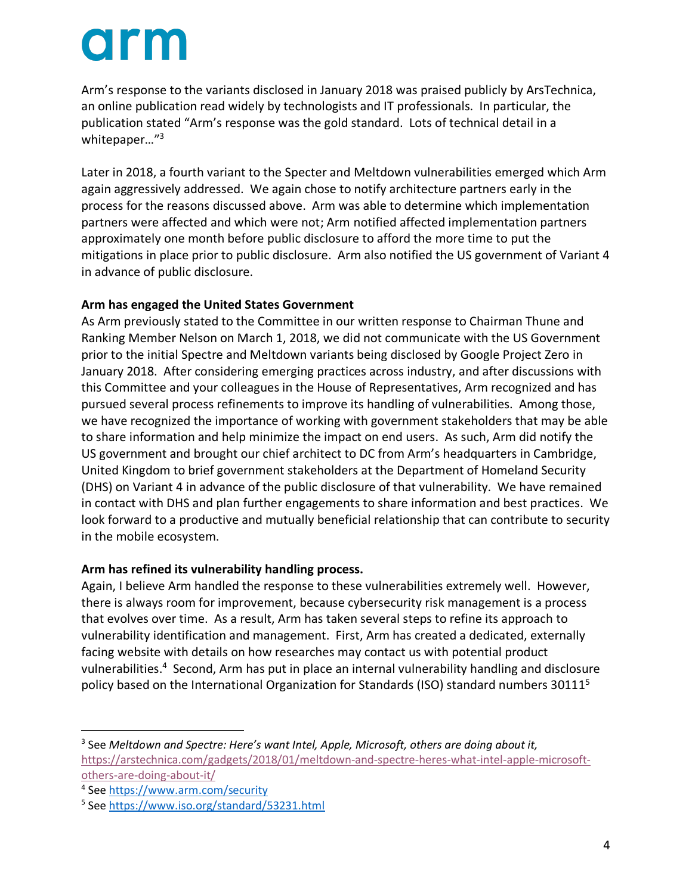## **orm**

Arm's response to the variants disclosed in January 2018 was praised publicly by ArsTechnica, an online publication read widely by technologists and IT professionals. In particular, the publication stated "Arm's response was the gold standard. Lots of technical detail in a whitepaper…"3

Later in 2018, a fourth variant to the Specter and Meltdown vulnerabilities emerged which Arm again aggressively addressed. We again chose to notify architecture partners early in the process for the reasons discussed above. Arm was able to determine which implementation partners were affected and which were not; Arm notified affected implementation partners approximately one month before public disclosure to afford the more time to put the mitigations in place prior to public disclosure. Arm also notified the US government of Variant 4 in advance of public disclosure.

#### **Arm has engaged the United States Government**

As Arm previously stated to the Committee in our written response to Chairman Thune and Ranking Member Nelson on March 1, 2018, we did not communicate with the US Government prior to the initial Spectre and Meltdown variants being disclosed by Google Project Zero in January 2018. After considering emerging practices across industry, and after discussions with this Committee and your colleagues in the House of Representatives, Arm recognized and has pursued several process refinements to improve its handling of vulnerabilities. Among those, we have recognized the importance of working with government stakeholders that may be able to share information and help minimize the impact on end users. As such, Arm did notify the US government and brought our chief architect to DC from Arm's headquarters in Cambridge, United Kingdom to brief government stakeholders at the Department of Homeland Security (DHS) on Variant 4 in advance of the public disclosure of that vulnerability. We have remained in contact with DHS and plan further engagements to share information and best practices. We look forward to a productive and mutually beneficial relationship that can contribute to security in the mobile ecosystem.

#### **Arm has refined its vulnerability handling process.**

Again, I believe Arm handled the response to these vulnerabilities extremely well. However, there is always room for improvement, because cybersecurity risk management is a process that evolves over time. As a result, Arm has taken several steps to refine its approach to vulnerability identification and management. First, Arm has created a dedicated, externally facing website with details on how researches may contact us with potential product vulnerabilities.<sup>4</sup> Second, Arm has put in place an internal vulnerability handling and disclosure policy based on the International Organization for Standards (ISO) standard numbers 30111<sup>5</sup>

 <sup>3</sup> See *Meltdown and Spectre: Here's want Intel, Apple, Microsoft, others are doing about it,* https://arstechnica.com/gadgets/2018/01/meltdown-and-spectre-heres-what-intel-apple-microsoftothers-are-doing-about-it/

<sup>4</sup> See https://www.arm.com/security

<sup>5</sup> See https://www.iso.org/standard/53231.html